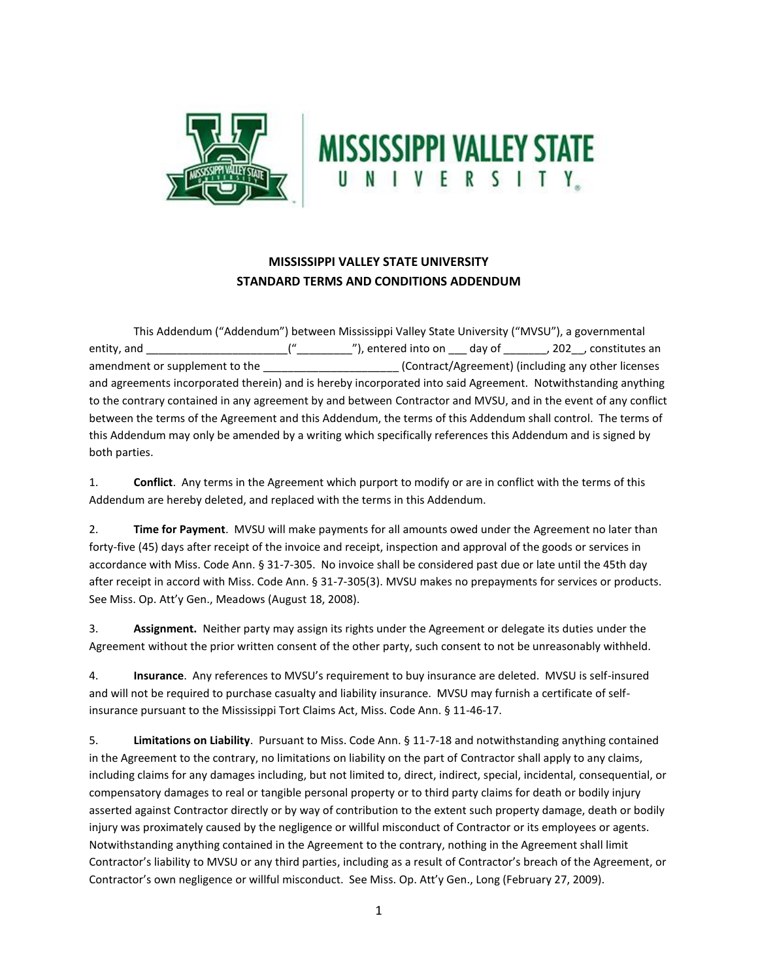



## **MISSISSIPPI VALLEY STATE UNIVERSITY STANDARD TERMS AND CONDITIONS ADDENDUM**

This Addendum ("Addendum") between Mississippi Valley State University ("MVSU"), a governmental entity, and \_\_\_\_\_\_\_\_\_\_\_\_\_\_\_\_\_\_\_\_\_\_\_("\_\_\_\_\_\_\_\_\_"), entered into on \_\_\_ day of \_\_\_\_\_\_\_, 202\_\_, constitutes an amendment or supplement to the \_\_\_\_\_\_\_\_\_\_\_\_\_\_\_\_\_\_\_\_\_\_ (Contract/Agreement) (including any other licenses and agreements incorporated therein) and is hereby incorporated into said Agreement. Notwithstanding anything to the contrary contained in any agreement by and between Contractor and MVSU, and in the event of any conflict between the terms of the Agreement and this Addendum, the terms of this Addendum shall control. The terms of this Addendum may only be amended by a writing which specifically references this Addendum and is signed by both parties.

1. **Conflict**. Any terms in the Agreement which purport to modify or are in conflict with the terms of this Addendum are hereby deleted, and replaced with the terms in this Addendum.

2. **Time for Payment**. MVSU will make payments for all amounts owed under the Agreement no later than forty-five (45) days after receipt of the invoice and receipt, inspection and approval of the goods or services in accordance with Miss. Code Ann. § 31-7-305. No invoice shall be considered past due or late until the 45th day after receipt in accord with Miss. Code Ann. § 31-7-305(3). MVSU makes no prepayments for services or products. See Miss. Op. Att'y Gen., Meadows (August 18, 2008).

3. **Assignment.** Neither party may assign its rights under the Agreement or delegate its duties under the Agreement without the prior written consent of the other party, such consent to not be unreasonably withheld.

4. **Insurance**. Any references to MVSU's requirement to buy insurance are deleted. MVSU is self-insured and will not be required to purchase casualty and liability insurance. MVSU may furnish a certificate of selfinsurance pursuant to the Mississippi Tort Claims Act, Miss. Code Ann. § 11-46-17.

5. **Limitations on Liability**. Pursuant to Miss. Code Ann. § 11-7-18 and notwithstanding anything contained in the Agreement to the contrary, no limitations on liability on the part of Contractor shall apply to any claims, including claims for any damages including, but not limited to, direct, indirect, special, incidental, consequential, or compensatory damages to real or tangible personal property or to third party claims for death or bodily injury asserted against Contractor directly or by way of contribution to the extent such property damage, death or bodily injury was proximately caused by the negligence or willful misconduct of Contractor or its employees or agents. Notwithstanding anything contained in the Agreement to the contrary, nothing in the Agreement shall limit Contractor's liability to MVSU or any third parties, including as a result of Contractor's breach of the Agreement, or Contractor's own negligence or willful misconduct. See Miss. Op. Att'y Gen., Long (February 27, 2009).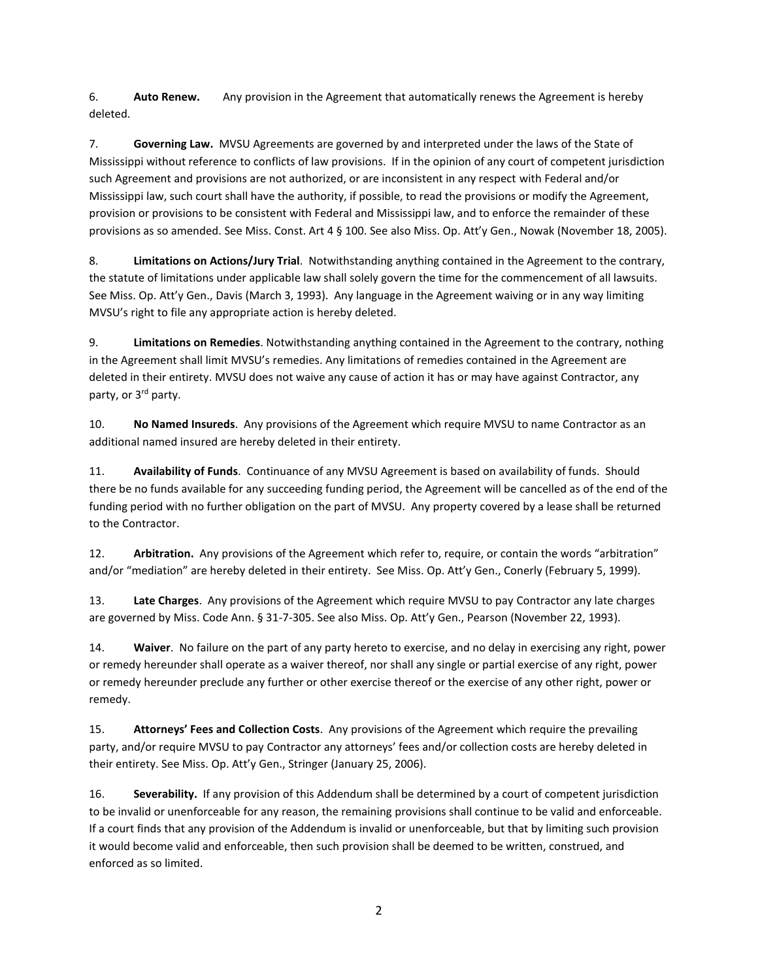6. **Auto Renew.** Any provision in the Agreement that automatically renews the Agreement is hereby deleted.

7. **Governing Law.** MVSU Agreements are governed by and interpreted under the laws of the State of Mississippi without reference to conflicts of law provisions. If in the opinion of any court of competent jurisdiction such Agreement and provisions are not authorized, or are inconsistent in any respect with Federal and/or Mississippi law, such court shall have the authority, if possible, to read the provisions or modify the Agreement, provision or provisions to be consistent with Federal and Mississippi law, and to enforce the remainder of these provisions as so amended. See Miss. Const. Art 4 § 100. See also Miss. Op. Att'y Gen., Nowak (November 18, 2005).

8. **Limitations on Actions/Jury Trial**. Notwithstanding anything contained in the Agreement to the contrary, the statute of limitations under applicable law shall solely govern the time for the commencement of all lawsuits. See Miss. Op. Att'y Gen., Davis (March 3, 1993). Any language in the Agreement waiving or in any way limiting MVSU's right to file any appropriate action is hereby deleted.

9. **Limitations on Remedies**. Notwithstanding anything contained in the Agreement to the contrary, nothing in the Agreement shall limit MVSU's remedies. Any limitations of remedies contained in the Agreement are deleted in their entirety. MVSU does not waive any cause of action it has or may have against Contractor, any party, or 3rd party.

10. **No Named Insureds**. Any provisions of the Agreement which require MVSU to name Contractor as an additional named insured are hereby deleted in their entirety.

11. **Availability of Funds**. Continuance of any MVSU Agreement is based on availability of funds. Should there be no funds available for any succeeding funding period, the Agreement will be cancelled as of the end of the funding period with no further obligation on the part of MVSU. Any property covered by a lease shall be returned to the Contractor.

12. **Arbitration.** Any provisions of the Agreement which refer to, require, or contain the words "arbitration" and/or "mediation" are hereby deleted in their entirety. See Miss. Op. Att'y Gen., Conerly (February 5, 1999).

13. **Late Charges**. Any provisions of the Agreement which require MVSU to pay Contractor any late charges are governed by Miss. Code Ann. § 31-7-305. See also Miss. Op. Att'y Gen., Pearson (November 22, 1993).

14. **Waiver**. No failure on the part of any party hereto to exercise, and no delay in exercising any right, power or remedy hereunder shall operate as a waiver thereof, nor shall any single or partial exercise of any right, power or remedy hereunder preclude any further or other exercise thereof or the exercise of any other right, power or remedy.

15. **Attorneys' Fees and Collection Costs**. Any provisions of the Agreement which require the prevailing party, and/or require MVSU to pay Contractor any attorneys' fees and/or collection costs are hereby deleted in their entirety. See Miss. Op. Att'y Gen., Stringer (January 25, 2006).

16. **Severability.** If any provision of this Addendum shall be determined by a court of competent jurisdiction to be invalid or unenforceable for any reason, the remaining provisions shall continue to be valid and enforceable. If a court finds that any provision of the Addendum is invalid or unenforceable, but that by limiting such provision it would become valid and enforceable, then such provision shall be deemed to be written, construed, and enforced as so limited.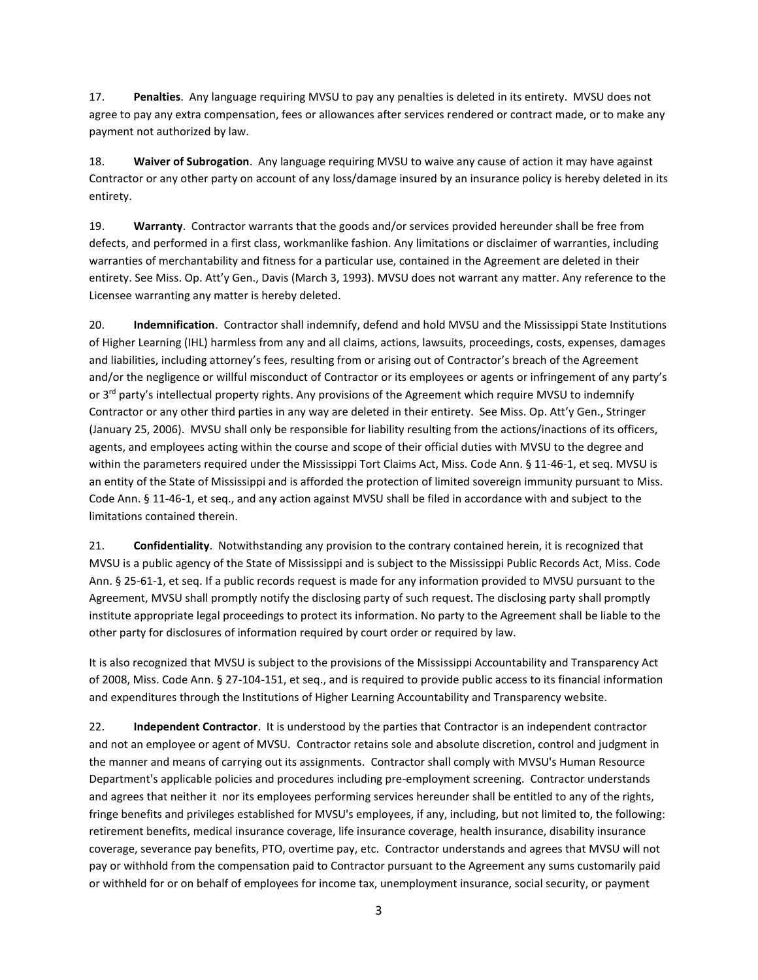17. **Penalties**. Any language requiring MVSU to pay any penalties is deleted in its entirety. MVSU does not agree to pay any extra compensation, fees or allowances after services rendered or contract made, or to make any payment not authorized by law.

18. **Waiver of Subrogation**. Any language requiring MVSU to waive any cause of action it may have against Contractor or any other party on account of any loss/damage insured by an insurance policy is hereby deleted in its entirety.

19. **Warranty**. Contractor warrants that the goods and/or services provided hereunder shall be free from defects, and performed in a first class, workmanlike fashion. Any limitations or disclaimer of warranties, including warranties of merchantability and fitness for a particular use, contained in the Agreement are deleted in their entirety. See Miss. Op. Att'y Gen., Davis (March 3, 1993). MVSU does not warrant any matter. Any reference to the Licensee warranting any matter is hereby deleted.

20. **Indemnification**. Contractor shall indemnify, defend and hold MVSU and the Mississippi State Institutions of Higher Learning (IHL) harmless from any and all claims, actions, lawsuits, proceedings, costs, expenses, damages and liabilities, including attorney's fees, resulting from or arising out of Contractor's breach of the Agreement and/or the negligence or willful misconduct of Contractor or its employees or agents or infringement of any party's or 3<sup>rd</sup> party's intellectual property rights. Any provisions of the Agreement which require MVSU to indemnify Contractor or any other third parties in any way are deleted in their entirety. See Miss. Op. Att'y Gen., Stringer (January 25, 2006). MVSU shall only be responsible for liability resulting from the actions/inactions of its officers, agents, and employees acting within the course and scope of their official duties with MVSU to the degree and within the parameters required under the Mississippi Tort Claims Act, Miss. Code Ann. § 11-46-1, et seq. MVSU is an entity of the State of Mississippi and is afforded the protection of limited sovereign immunity pursuant to Miss. Code Ann. § 11-46-1, et seq., and any action against MVSU shall be filed in accordance with and subject to the limitations contained therein.

21. **Confidentiality**. Notwithstanding any provision to the contrary contained herein, it is recognized that MVSU is a public agency of the State of Mississippi and is subject to the Mississippi Public Records Act, Miss. Code Ann. § 25-61-1, et seq. If a public records request is made for any information provided to MVSU pursuant to the Agreement, MVSU shall promptly notify the disclosing party of such request. The disclosing party shall promptly institute appropriate legal proceedings to protect its information. No party to the Agreement shall be liable to the other party for disclosures of information required by court order or required by law.

It is also recognized that MVSU is subject to the provisions of the Mississippi Accountability and Transparency Act of 2008, Miss. Code Ann. § 27-104-151, et seq., and is required to provide public access to its financial information and expenditures through the Institutions of Higher Learning Accountability and Transparency website.

22. **Independent Contractor**. It is understood by the parties that Contractor is an independent contractor and not an employee or agent of MVSU. Contractor retains sole and absolute discretion, control and judgment in the manner and means of carrying out its assignments. Contractor shall comply with MVSU's Human Resource Department's applicable policies and procedures including pre-employment screening. Contractor understands and agrees that neither it nor its employees performing services hereunder shall be entitled to any of the rights, fringe benefits and privileges established for MVSU's employees, if any, including, but not limited to, the following: retirement benefits, medical insurance coverage, life insurance coverage, health insurance, disability insurance coverage, severance pay benefits, PTO, overtime pay, etc. Contractor understands and agrees that MVSU will not pay or withhold from the compensation paid to Contractor pursuant to the Agreement any sums customarily paid or withheld for or on behalf of employees for income tax, unemployment insurance, social security, or payment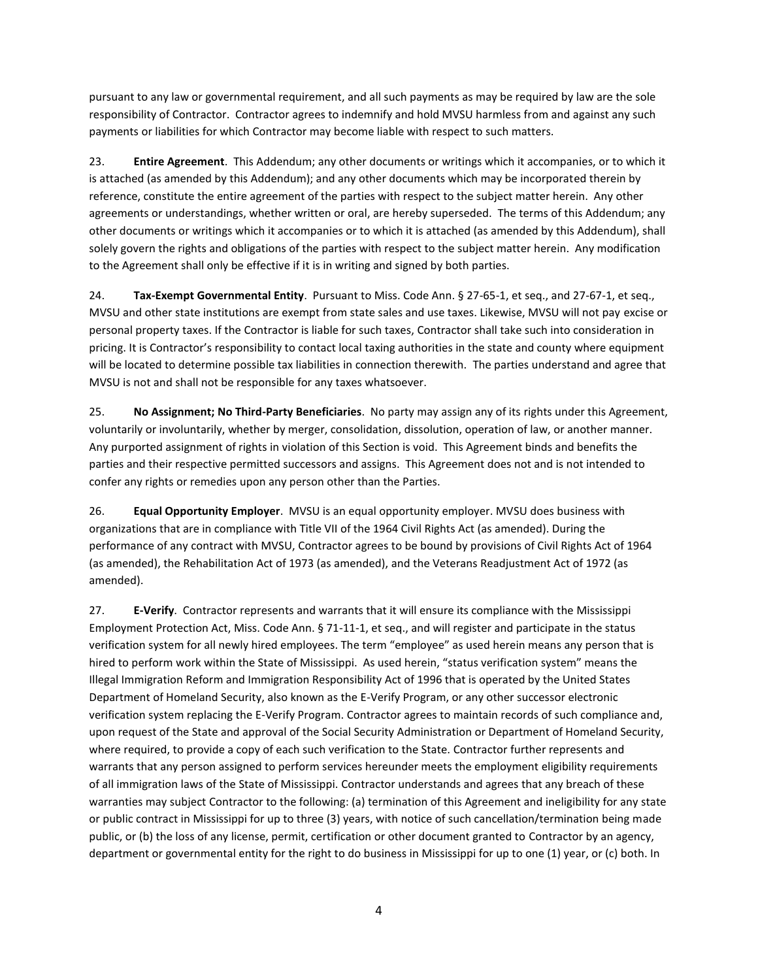pursuant to any law or governmental requirement, and all such payments as may be required by law are the sole responsibility of Contractor. Contractor agrees to indemnify and hold MVSU harmless from and against any such payments or liabilities for which Contractor may become liable with respect to such matters.

23. **Entire Agreement**. This Addendum; any other documents or writings which it accompanies, or to which it is attached (as amended by this Addendum); and any other documents which may be incorporated therein by reference, constitute the entire agreement of the parties with respect to the subject matter herein. Any other agreements or understandings, whether written or oral, are hereby superseded. The terms of this Addendum; any other documents or writings which it accompanies or to which it is attached (as amended by this Addendum), shall solely govern the rights and obligations of the parties with respect to the subject matter herein. Any modification to the Agreement shall only be effective if it is in writing and signed by both parties.

24. **Tax-Exempt Governmental Entity**. Pursuant to Miss. Code Ann. § 27-65-1, et seq., and 27-67-1, et seq., MVSU and other state institutions are exempt from state sales and use taxes. Likewise, MVSU will not pay excise or personal property taxes. If the Contractor is liable for such taxes, Contractor shall take such into consideration in pricing. It is Contractor's responsibility to contact local taxing authorities in the state and county where equipment will be located to determine possible tax liabilities in connection therewith. The parties understand and agree that MVSU is not and shall not be responsible for any taxes whatsoever.

25. **No Assignment; No Third-Party Beneficiaries**. No party may assign any of its rights under this Agreement, voluntarily or involuntarily, whether by merger, consolidation, dissolution, operation of law, or another manner. Any purported assignment of rights in violation of this Section is void. This Agreement binds and benefits the parties and their respective permitted successors and assigns. This Agreement does not and is not intended to confer any rights or remedies upon any person other than the Parties.

26. **Equal Opportunity Employer**. MVSU is an equal opportunity employer. MVSU does business with organizations that are in compliance with Title VII of the 1964 Civil Rights Act (as amended). During the performance of any contract with MVSU, Contractor agrees to be bound by provisions of Civil Rights Act of 1964 (as amended), the Rehabilitation Act of 1973 (as amended), and the Veterans Readjustment Act of 1972 (as amended).

27. **E-Verify**. Contractor represents and warrants that it will ensure its compliance with the Mississippi Employment Protection Act, Miss. Code Ann. § 71-11-1, et seq., and will register and participate in the status verification system for all newly hired employees. The term "employee" as used herein means any person that is hired to perform work within the State of Mississippi. As used herein, "status verification system" means the Illegal Immigration Reform and Immigration Responsibility Act of 1996 that is operated by the United States Department of Homeland Security, also known as the E-Verify Program, or any other successor electronic verification system replacing the E-Verify Program. Contractor agrees to maintain records of such compliance and, upon request of the State and approval of the Social Security Administration or Department of Homeland Security, where required, to provide a copy of each such verification to the State. Contractor further represents and warrants that any person assigned to perform services hereunder meets the employment eligibility requirements of all immigration laws of the State of Mississippi. Contractor understands and agrees that any breach of these warranties may subject Contractor to the following: (a) termination of this Agreement and ineligibility for any state or public contract in Mississippi for up to three (3) years, with notice of such cancellation/termination being made public, or (b) the loss of any license, permit, certification or other document granted to Contractor by an agency, department or governmental entity for the right to do business in Mississippi for up to one (1) year, or (c) both. In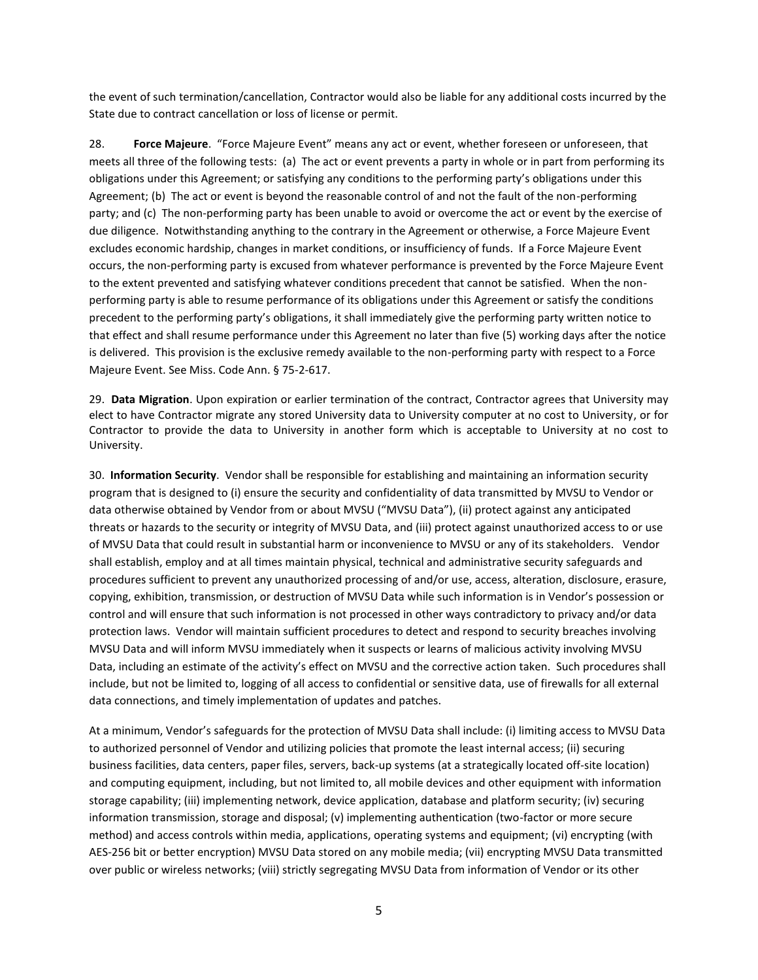the event of such termination/cancellation, Contractor would also be liable for any additional costs incurred by the State due to contract cancellation or loss of license or permit.

28. **Force Majeure**. "Force Majeure Event" means any act or event, whether foreseen or unforeseen, that meets all three of the following tests: (a) The act or event prevents a party in whole or in part from performing its obligations under this Agreement; or satisfying any conditions to the performing party's obligations under this Agreement; (b) The act or event is beyond the reasonable control of and not the fault of the non-performing party; and (c) The non-performing party has been unable to avoid or overcome the act or event by the exercise of due diligence. Notwithstanding anything to the contrary in the Agreement or otherwise, a Force Majeure Event excludes economic hardship, changes in market conditions, or insufficiency of funds. If a Force Majeure Event occurs, the non-performing party is excused from whatever performance is prevented by the Force Majeure Event to the extent prevented and satisfying whatever conditions precedent that cannot be satisfied. When the nonperforming party is able to resume performance of its obligations under this Agreement or satisfy the conditions precedent to the performing party's obligations, it shall immediately give the performing party written notice to that effect and shall resume performance under this Agreement no later than five (5) working days after the notice is delivered. This provision is the exclusive remedy available to the non-performing party with respect to a Force Majeure Event. See Miss. Code Ann. § 75-2-617.

29. **Data Migration**. Upon expiration or earlier termination of the contract, Contractor agrees that University may elect to have Contractor migrate any stored University data to University computer at no cost to University, or for Contractor to provide the data to University in another form which is acceptable to University at no cost to University.

30. **Information Security**. Vendor shall be responsible for establishing and maintaining an information security program that is designed to (i) ensure the security and confidentiality of data transmitted by MVSU to Vendor or data otherwise obtained by Vendor from or about MVSU ("MVSU Data"), (ii) protect against any anticipated threats or hazards to the security or integrity of MVSU Data, and (iii) protect against unauthorized access to or use of MVSU Data that could result in substantial harm or inconvenience to MVSU or any of its stakeholders. Vendor shall establish, employ and at all times maintain physical, technical and administrative security safeguards and procedures sufficient to prevent any unauthorized processing of and/or use, access, alteration, disclosure, erasure, copying, exhibition, transmission, or destruction of MVSU Data while such information is in Vendor's possession or control and will ensure that such information is not processed in other ways contradictory to privacy and/or data protection laws. Vendor will maintain sufficient procedures to detect and respond to security breaches involving MVSU Data and will inform MVSU immediately when it suspects or learns of malicious activity involving MVSU Data, including an estimate of the activity's effect on MVSU and the corrective action taken. Such procedures shall include, but not be limited to, logging of all access to confidential or sensitive data, use of firewalls for all external data connections, and timely implementation of updates and patches.

At a minimum, Vendor's safeguards for the protection of MVSU Data shall include: (i) limiting access to MVSU Data to authorized personnel of Vendor and utilizing policies that promote the least internal access; (ii) securing business facilities, data centers, paper files, servers, back-up systems (at a strategically located off-site location) and computing equipment, including, but not limited to, all mobile devices and other equipment with information storage capability; (iii) implementing network, device application, database and platform security; (iv) securing information transmission, storage and disposal; (v) implementing authentication (two-factor or more secure method) and access controls within media, applications, operating systems and equipment; (vi) encrypting (with AES-256 bit or better encryption) MVSU Data stored on any mobile media; (vii) encrypting MVSU Data transmitted over public or wireless networks; (viii) strictly segregating MVSU Data from information of Vendor or its other